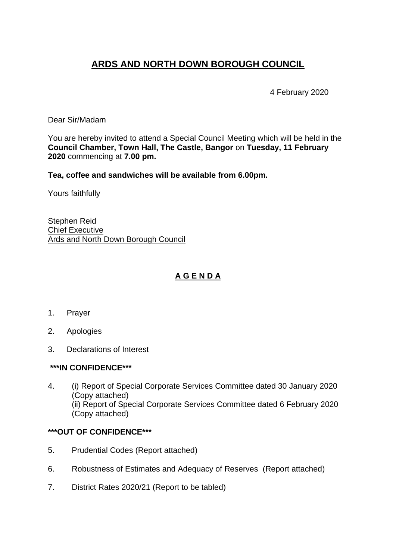# **ARDS AND NORTH DOWN BOROUGH COUNCIL**

4 February 2020

Dear Sir/Madam

You are hereby invited to attend a Special Council Meeting which will be held in the **Council Chamber, Town Hall, The Castle, Bangor** on **Tuesday, 11 February 2020** commencing at **7.00 pm.** 

**Tea, coffee and sandwiches will be available from 6.00pm.**

Yours faithfully

Stephen Reid Chief Executive Ards and North Down Borough Council

### **A G E N D A**

- 1. Prayer
- 2. Apologies
- 3. Declarations of Interest

#### **\*\*\*IN CONFIDENCE\*\*\***

4. (i) Report of Special Corporate Services Committee dated 30 January 2020 (Copy attached) (ii) Report of Special Corporate Services Committee dated 6 February 2020 (Copy attached)

#### **\*\*\*OUT OF CONFIDENCE\*\*\***

- 5. Prudential Codes (Report attached)
- 6. Robustness of Estimates and Adequacy of Reserves (Report attached)
- 7. District Rates 2020/21 (Report to be tabled)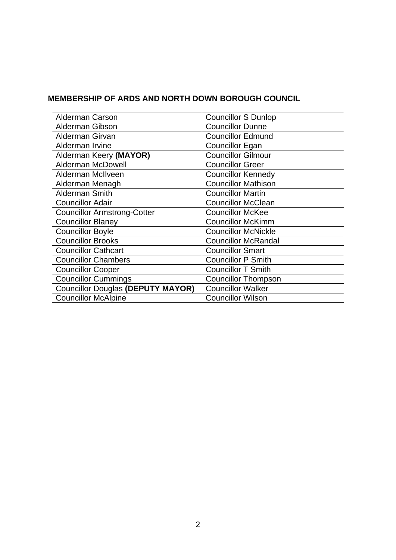## **MEMBERSHIP OF ARDS AND NORTH DOWN BOROUGH COUNCIL**

| <b>Alderman Carson</b>                   | <b>Councillor S Dunlop</b> |
|------------------------------------------|----------------------------|
| Alderman Gibson                          | <b>Councillor Dunne</b>    |
| Alderman Girvan                          | <b>Councillor Edmund</b>   |
| Alderman Irvine                          | <b>Councillor Egan</b>     |
| Alderman Keery (MAYOR)                   | <b>Councillor Gilmour</b>  |
| <b>Alderman McDowell</b>                 | <b>Councillor Greer</b>    |
| Alderman McIlveen                        | <b>Councillor Kennedy</b>  |
| Alderman Menagh                          | <b>Councillor Mathison</b> |
| Alderman Smith                           | <b>Councillor Martin</b>   |
| <b>Councillor Adair</b>                  | <b>Councillor McClean</b>  |
| <b>Councillor Armstrong-Cotter</b>       | <b>Councillor McKee</b>    |
| <b>Councillor Blaney</b>                 | <b>Councillor McKimm</b>   |
| <b>Councillor Boyle</b>                  | <b>Councillor McNickle</b> |
| <b>Councillor Brooks</b>                 | <b>Councillor McRandal</b> |
| <b>Councillor Cathcart</b>               | <b>Councillor Smart</b>    |
| <b>Councillor Chambers</b>               | <b>Councillor P Smith</b>  |
| <b>Councillor Cooper</b>                 | <b>Councillor T Smith</b>  |
| <b>Councillor Cummings</b>               | <b>Councillor Thompson</b> |
| <b>Councillor Douglas (DEPUTY MAYOR)</b> | <b>Councillor Walker</b>   |
| <b>Councillor McAlpine</b>               | <b>Councillor Wilson</b>   |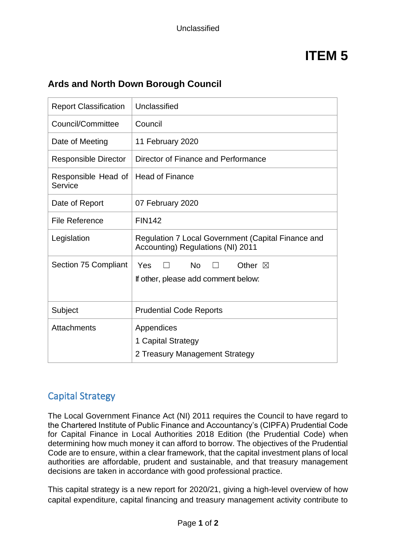# **ITEM 5**

# **Ards and North Down Borough Council**

| <b>Report Classification</b>   | Unclassified                                                                 |
|--------------------------------|------------------------------------------------------------------------------|
| Council/Committee              | Council                                                                      |
| Date of Meeting                | 11 February 2020                                                             |
| <b>Responsible Director</b>    | Director of Finance and Performance                                          |
| Responsible Head of<br>Service | <b>Head of Finance</b>                                                       |
| Date of Report                 | 07 February 2020                                                             |
| <b>File Reference</b>          | <b>FIN142</b>                                                                |
| Legislation                    | Regulation 7 Local Government (Capital Finance and                           |
|                                | Accounting) Regulations (NI) 2011                                            |
| Section 75 Compliant           | <b>No</b><br>Yes<br>Other $\boxtimes$<br>If other, please add comment below: |
| Subject                        | <b>Prudential Code Reports</b>                                               |

# Capital Strategy

The Local Government Finance Act (NI) 2011 requires the Council to have regard to the Chartered Institute of Public Finance and Accountancy's (CIPFA) Prudential Code for Capital Finance in Local Authorities 2018 Edition (the Prudential Code) when determining how much money it can afford to borrow. The objectives of the Prudential Code are to ensure, within a clear framework, that the capital investment plans of local authorities are affordable, prudent and sustainable, and that treasury management decisions are taken in accordance with good professional practice.

This capital strategy is a new report for 2020/21, giving a high-level overview of how capital expenditure, capital financing and treasury management activity contribute to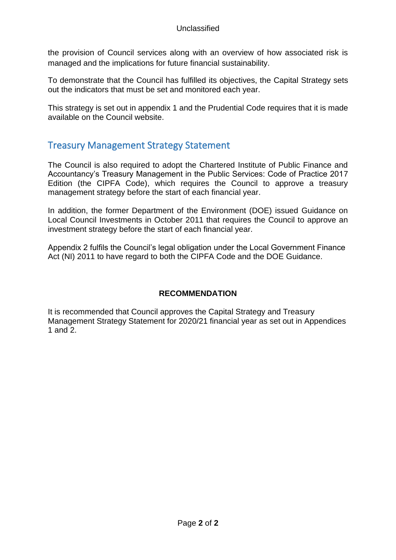#### Unclassified

the provision of Council services along with an overview of how associated risk is managed and the implications for future financial sustainability.

To demonstrate that the Council has fulfilled its objectives, the Capital Strategy sets out the indicators that must be set and monitored each year.

This strategy is set out in appendix 1 and the Prudential Code requires that it is made available on the Council website.

# Treasury Management Strategy Statement

The Council is also required to adopt the Chartered Institute of Public Finance and Accountancy's Treasury Management in the Public Services: Code of Practice 2017 Edition (the CIPFA Code), which requires the Council to approve a treasury management strategy before the start of each financial year.

In addition, the former Department of the Environment (DOE) issued Guidance on Local Council Investments in October 2011 that requires the Council to approve an investment strategy before the start of each financial year.

Appendix 2 fulfils the Council's legal obligation under the Local Government Finance Act (NI) 2011 to have regard to both the CIPFA Code and the DOE Guidance.

#### **RECOMMENDATION**

It is recommended that Council approves the Capital Strategy and Treasury Management Strategy Statement for 2020/21 financial year as set out in Appendices 1 and 2.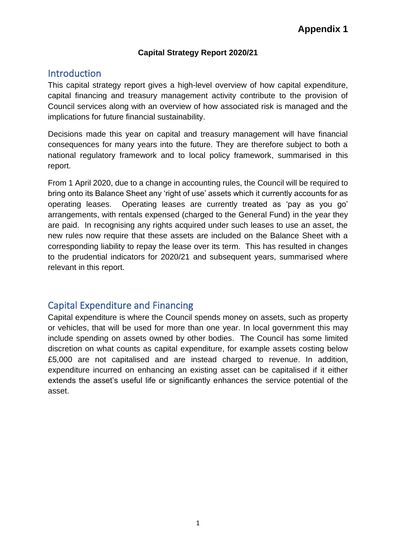#### **Capital Strategy Report 2020/21**

## Introduction

This capital strategy report gives a high-level overview of how capital expenditure, capital financing and treasury management activity contribute to the provision of Council services along with an overview of how associated risk is managed and the implications for future financial sustainability.

Decisions made this year on capital and treasury management will have financial consequences for many years into the future. They are therefore subject to both a national regulatory framework and to local policy framework, summarised in this report.

From 1 April 2020, due to a change in accounting rules, the Council will be required to bring onto its Balance Sheet any 'right of use' assets which it currently accounts for as operating leases. Operating leases are currently treated as 'pay as you go' arrangements, with rentals expensed (charged to the General Fund) in the year they are paid. In recognising any rights acquired under such leases to use an asset, the new rules now require that these assets are included on the Balance Sheet with a corresponding liability to repay the lease over its term. This has resulted in changes to the prudential indicators for 2020/21 and subsequent years, summarised where relevant in this report.

# Capital Expenditure and Financing

Capital expenditure is where the Council spends money on assets, such as property or vehicles, that will be used for more than one year. In local government this may include spending on assets owned by other bodies. The Council has some limited discretion on what counts as capital expenditure, for example assets costing below £5,000 are not capitalised and are instead charged to revenue. In addition, expenditure incurred on enhancing an existing asset can be capitalised if it either extends the asset's useful life or significantly enhances the service potential of the asset.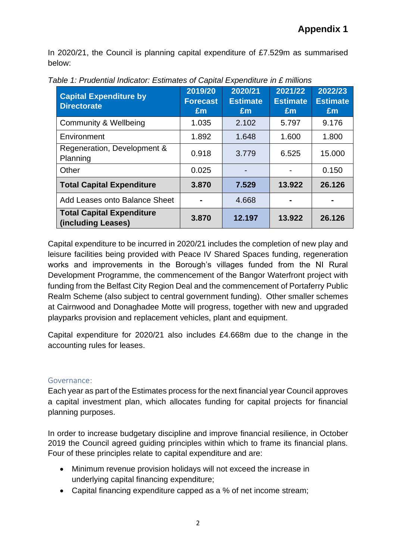In 2020/21, the Council is planning capital expenditure of £7.529m as summarised below:

| <b>Capital Expenditure by</b><br><b>Directorate</b>    | 2019/20<br><b>Forecast</b><br>Em | 2020/21<br><b>Estimate</b><br>Em | 2021/22<br><b>Estimate</b><br>Em | 2022/23<br><b>Estimate</b><br>Em |
|--------------------------------------------------------|----------------------------------|----------------------------------|----------------------------------|----------------------------------|
| Community & Wellbeing                                  | 1.035                            | 2.102                            | 5.797                            | 9.176                            |
| Environment                                            | 1.892                            | 1.648                            | 1.600                            | 1.800                            |
| Regeneration, Development &<br>Planning                | 0.918                            | 3.779                            | 6.525                            | 15.000                           |
| Other                                                  | 0.025                            |                                  |                                  | 0.150                            |
| <b>Total Capital Expenditure</b>                       | 3.870                            | 7.529                            | 13.922                           | 26.126                           |
| Add Leases onto Balance Sheet                          |                                  | 4.668                            |                                  |                                  |
| <b>Total Capital Expenditure</b><br>(including Leases) | 3.870                            | 12.197                           | 13.922                           | 26.126                           |

*Table 1: Prudential Indicator: Estimates of Capital Expenditure in £ millions*

Capital expenditure to be incurred in 2020/21 includes the completion of new play and leisure facilities being provided with Peace IV Shared Spaces funding, regeneration works and improvements in the Borough's villages funded from the NI Rural Development Programme, the commencement of the Bangor Waterfront project with funding from the Belfast City Region Deal and the commencement of Portaferry Public Realm Scheme (also subject to central government funding). Other smaller schemes at Cairnwood and Donaghadee Motte will progress, together with new and upgraded playparks provision and replacement vehicles, plant and equipment.

Capital expenditure for 2020/21 also includes £4.668m due to the change in the accounting rules for leases.

#### Governance:

Each year as part of the Estimates process for the next financial year Council approves a capital investment plan, which allocates funding for capital projects for financial planning purposes.

In order to increase budgetary discipline and improve financial resilience, in October 2019 the Council agreed guiding principles within which to frame its financial plans. Four of these principles relate to capital expenditure and are:

- Minimum revenue provision holidays will not exceed the increase in underlying capital financing expenditure;
- Capital financing expenditure capped as a % of net income stream;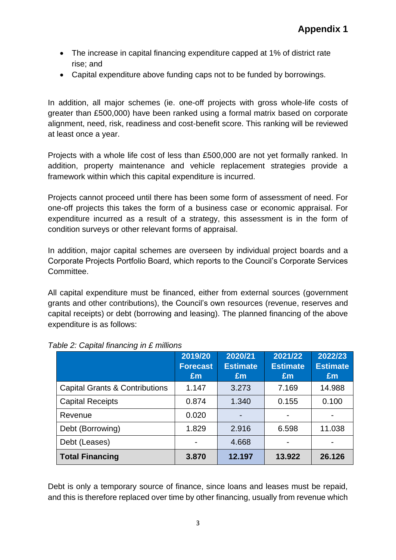- The increase in capital financing expenditure capped at 1% of district rate rise; and
- Capital expenditure above funding caps not to be funded by borrowings.

In addition, all major schemes (ie. one-off projects with gross whole-life costs of greater than £500,000) have been ranked using a formal matrix based on corporate alignment, need, risk, readiness and cost-benefit score. This ranking will be reviewed at least once a year.

Projects with a whole life cost of less than £500,000 are not yet formally ranked. In addition, property maintenance and vehicle replacement strategies provide a framework within which this capital expenditure is incurred.

Projects cannot proceed until there has been some form of assessment of need. For one-off projects this takes the form of a business case or economic appraisal. For expenditure incurred as a result of a strategy, this assessment is in the form of condition surveys or other relevant forms of appraisal.

In addition, major capital schemes are overseen by individual project boards and a Corporate Projects Portfolio Board, which reports to the Council's Corporate Services Committee.

All capital expenditure must be financed, either from external sources (government grants and other contributions), the Council's own resources (revenue, reserves and capital receipts) or debt (borrowing and leasing). The planned financing of the above expenditure is as follows:

|                                           | 2019/20<br><b>Forecast</b><br>£m | 2020/21<br><b>Estimate</b><br>Em | 2021/22<br><b>Estimate</b><br>Em | 2022/23<br><b>Estimate</b><br>£m |
|-------------------------------------------|----------------------------------|----------------------------------|----------------------------------|----------------------------------|
| <b>Capital Grants &amp; Contributions</b> | 1.147                            | 3.273                            | 7.169                            | 14.988                           |
| <b>Capital Receipts</b>                   | 0.874                            | 1.340                            | 0.155                            | 0.100                            |
| Revenue                                   | 0.020                            | $\overline{\phantom{0}}$         |                                  |                                  |
| Debt (Borrowing)                          | 1.829                            | 2.916                            | 6.598                            | 11.038                           |
| Debt (Leases)                             |                                  | 4.668                            | $\blacksquare$                   |                                  |
| <b>Total Financing</b>                    | 3.870                            | 12.197                           | 13.922                           | 26.126                           |

#### *Table 2: Capital financing in £ millions*

Debt is only a temporary source of finance, since loans and leases must be repaid, and this is therefore replaced over time by other financing, usually from revenue which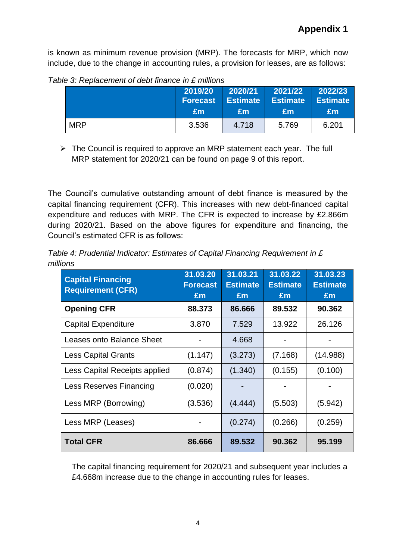is known as minimum revenue provision (MRP). The forecasts for MRP, which now include, due to the change in accounting rules, a provision for leases, are as follows:

|            | 2019/20         | 2020/21         | 2021/22         | 2022/23         |
|------------|-----------------|-----------------|-----------------|-----------------|
|            | <b>Forecast</b> | <b>Estimate</b> | <b>Estimate</b> | <b>Estimate</b> |
|            | Em              | £m              | £m              | £m              |
| <b>MRP</b> | 3.536           | 4.718           | 5.769           | 6.201           |

*Table 3: Replacement of debt finance in £ millions*

➢ The Council is required to approve an MRP statement each year. The full MRP statement for 2020/21 can be found on page 9 of this report.

The Council's cumulative outstanding amount of debt finance is measured by the capital financing requirement (CFR). This increases with new debt-financed capital expenditure and reduces with MRP. The CFR is expected to increase by £2.866m during 2020/21. Based on the above figures for expenditure and financing, the Council's estimated CFR is as follows:

| Table 4: Prudential Indicator: Estimates of Capital Financing Requirement in £ |  |
|--------------------------------------------------------------------------------|--|
| millions                                                                       |  |

| <b>Capital Financing</b><br><b>Requirement (CFR)</b> | 31.03.20<br><b>Forecast</b><br>£m | 31.03.21<br><b>Estimate</b><br>£m | 31.03.22<br><b>Estimate</b><br>£m | 31.03.23<br><b>Estimate</b><br>Em |
|------------------------------------------------------|-----------------------------------|-----------------------------------|-----------------------------------|-----------------------------------|
| <b>Opening CFR</b>                                   | 88.373                            | 86.666                            | 89.532                            | 90.362                            |
| <b>Capital Expenditure</b>                           | 3.870                             | 7.529                             | 13.922                            | 26.126                            |
| Leases onto Balance Sheet                            |                                   | 4.668                             |                                   |                                   |
| <b>Less Capital Grants</b>                           | (1.147)                           | (3.273)                           | (7.168)                           | (14.988)                          |
| Less Capital Receipts applied                        | (0.874)                           | (1.340)                           | (0.155)                           | (0.100)                           |
| Less Reserves Financing                              | (0.020)                           |                                   |                                   |                                   |
| Less MRP (Borrowing)                                 | (3.536)                           | (4.444)                           | (5.503)                           | (5.942)                           |
| Less MRP (Leases)                                    |                                   | (0.274)                           | (0.266)                           | (0.259)                           |
| <b>Total CFR</b>                                     | 86.666                            | 89.532                            | 90.362                            | 95.199                            |

The capital financing requirement for 2020/21 and subsequent year includes a £4.668m increase due to the change in accounting rules for leases.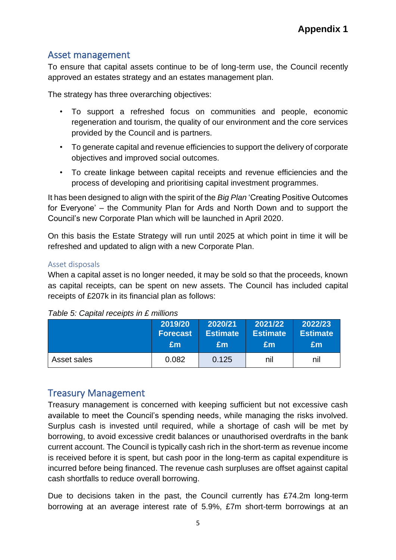# Asset management

To ensure that capital assets continue to be of long-term use, the Council recently approved an estates strategy and an estates management plan.

The strategy has three overarching objectives:

- To support a refreshed focus on communities and people, economic regeneration and tourism, the quality of our environment and the core services provided by the Council and is partners.
- To generate capital and revenue efficiencies to support the delivery of corporate objectives and improved social outcomes.
- To create linkage between capital receipts and revenue efficiencies and the process of developing and prioritising capital investment programmes.

It has been designed to align with the spirit of the *Big Plan* 'Creating Positive Outcomes for Everyone' – the Community Plan for Ards and North Down and to support the Council's new Corporate Plan which will be launched in April 2020.

On this basis the Estate Strategy will run until 2025 at which point in time it will be refreshed and updated to align with a new Corporate Plan.

#### Asset disposals

When a capital asset is no longer needed, it may be sold so that the proceeds, known as capital receipts, can be spent on new assets. The Council has included capital receipts of £207k in its financial plan as follows:

|             | 2019/20         | 2020/21         | 2021/22  | 2022/23         |
|-------------|-----------------|-----------------|----------|-----------------|
|             | <b>Forecast</b> | <b>Estimate</b> | Estimate | <b>Estimate</b> |
|             | £m              | £m              | £m       | £m              |
| Asset sales | 0.082           | 0.125           | nil      | nil             |

*Table 5: Capital receipts in £ millions*

# Treasury Management

Treasury management is concerned with keeping sufficient but not excessive cash available to meet the Council's spending needs, while managing the risks involved. Surplus cash is invested until required, while a shortage of cash will be met by borrowing, to avoid excessive credit balances or unauthorised overdrafts in the bank current account. The Council is typically cash rich in the short-term as revenue income is received before it is spent, but cash poor in the long-term as capital expenditure is incurred before being financed. The revenue cash surpluses are offset against capital cash shortfalls to reduce overall borrowing.

Due to decisions taken in the past, the Council currently has £74.2m long-term borrowing at an average interest rate of 5.9%, £7m short-term borrowings at an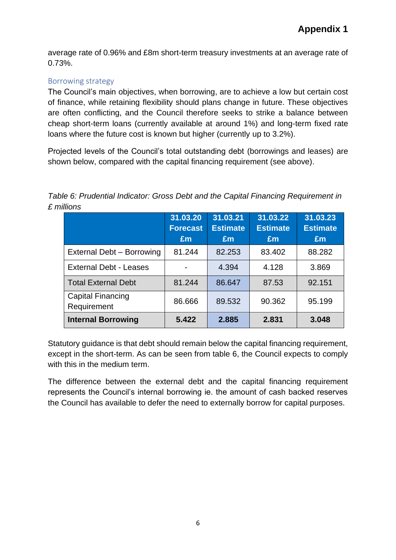average rate of 0.96% and £8m short-term treasury investments at an average rate of 0.73%.

#### Borrowing strategy

The Council's main objectives, when borrowing, are to achieve a low but certain cost of finance, while retaining flexibility should plans change in future. These objectives are often conflicting, and the Council therefore seeks to strike a balance between cheap short-term loans (currently available at around 1%) and long-term fixed rate loans where the future cost is known but higher (currently up to 3.2%).

Projected levels of the Council's total outstanding debt (borrowings and leases) are shown below, compared with the capital financing requirement (see above).

*Table 6: Prudential Indicator: Gross Debt and the Capital Financing Requirement in £ millions*

|                                         | 31.03.20<br><b>Forecast</b><br>Em | 31.03.21<br><b>Estimate</b><br>£m | 31.03.22<br><b>Estimate</b><br>Em | 31.03.23<br><b>Estimate</b><br>£m |
|-----------------------------------------|-----------------------------------|-----------------------------------|-----------------------------------|-----------------------------------|
| External Debt - Borrowing               | 81.244                            | 82.253                            | 83.402                            | 88.282                            |
| <b>External Debt - Leases</b>           |                                   | 4.394                             | 4.128                             | 3.869                             |
| <b>Total External Debt</b>              | 81.244                            | 86.647                            | 87.53                             | 92.151                            |
| <b>Capital Financing</b><br>Requirement | 86.666                            | 89.532                            | 90.362                            | 95.199                            |
| <b>Internal Borrowing</b>               | 5.422                             | 2.885                             | 2.831                             | 3.048                             |

Statutory guidance is that debt should remain below the capital financing requirement, except in the short-term. As can be seen from table 6, the Council expects to comply with this in the medium term.

The difference between the external debt and the capital financing requirement represents the Council's internal borrowing ie. the amount of cash backed reserves the Council has available to defer the need to externally borrow for capital purposes.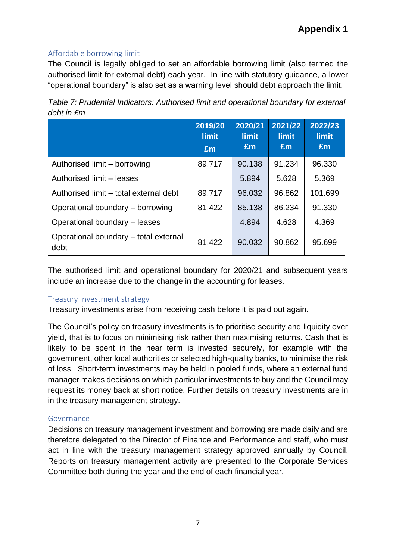## Affordable borrowing limit

The Council is legally obliged to set an affordable borrowing limit (also termed the authorised limit for external debt) each year. In line with statutory guidance, a lower "operational boundary" is also set as a warning level should debt approach the limit.

| Table 7: Prudential Indicators: Authorised limit and operational boundary for external |  |
|----------------------------------------------------------------------------------------|--|
| debt in £m                                                                             |  |

|                                               | 2019/20<br><b>limit</b><br>£m | 2020/21<br><b>limit</b><br>Em | 2021/22<br><b>limit</b><br>Em | 2022/23<br><b>limit</b><br>Em |
|-----------------------------------------------|-------------------------------|-------------------------------|-------------------------------|-------------------------------|
| Authorised limit – borrowing                  | 89.717                        | 90.138                        | 91.234                        | 96.330                        |
| Authorised limit - leases                     |                               | 5.894                         | 5.628                         | 5.369                         |
| Authorised limit – total external debt        | 89.717                        | 96.032                        | 96.862                        | 101.699                       |
| Operational boundary – borrowing              | 81.422                        | 85.138                        | 86.234                        | 91.330                        |
| Operational boundary - leases                 |                               | 4.894                         | 4.628                         | 4.369                         |
| Operational boundary - total external<br>debt | 81.422                        | 90.032                        | 90.862                        | 95.699                        |

The authorised limit and operational boundary for 2020/21 and subsequent years include an increase due to the change in the accounting for leases.

#### Treasury Investment strategy

Treasury investments arise from receiving cash before it is paid out again.

The Council's policy on treasury investments is to prioritise security and liquidity over yield, that is to focus on minimising risk rather than maximising returns. Cash that is likely to be spent in the near term is invested securely, for example with the government, other local authorities or selected high-quality banks, to minimise the risk of loss. Short-term investments may be held in pooled funds, where an external fund manager makes decisions on which particular investments to buy and the Council may request its money back at short notice. Further details on treasury investments are in in the treasury management strategy.

#### Governance

Decisions on treasury management investment and borrowing are made daily and are therefore delegated to the Director of Finance and Performance and staff, who must act in line with the treasury management strategy approved annually by Council. Reports on treasury management activity are presented to the Corporate Services Committee both during the year and the end of each financial year.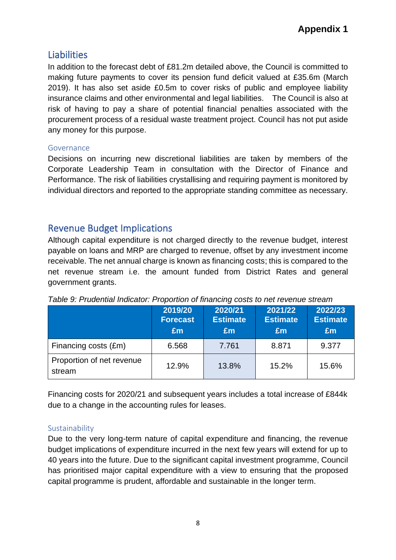# Liabilities

In addition to the forecast debt of £81.2m detailed above, the Council is committed to making future payments to cover its pension fund deficit valued at £35.6m (March 2019). It has also set aside £0.5m to cover risks of public and employee liability insurance claims and other environmental and legal liabilities. The Council is also at risk of having to pay a share of potential financial penalties associated with the procurement process of a residual waste treatment project. Council has not put aside any money for this purpose.

#### Governance

Decisions on incurring new discretional liabilities are taken by members of the Corporate Leadership Team in consultation with the Director of Finance and Performance. The risk of liabilities crystallising and requiring payment is monitored by individual directors and reported to the appropriate standing committee as necessary.

# Revenue Budget Implications

Although capital expenditure is not charged directly to the revenue budget, interest payable on loans and MRP are charged to revenue, offset by any investment income receivable. The net annual charge is known as financing costs; this is compared to the net revenue stream i.e. the amount funded from District Rates and general government grants.

|                                     | 2019/20<br><b>Forecast</b><br>£m | 2020/21<br><b>Estimate</b><br>£m | 2021/22<br><b>Estimate</b><br>Em | 2022/23<br><b>Estimate</b><br>£m |
|-------------------------------------|----------------------------------|----------------------------------|----------------------------------|----------------------------------|
| Financing costs (£m)                | 6.568                            | 7.761                            | 8.871                            | 9.377                            |
| Proportion of net revenue<br>stream | 12.9%                            | 13.8%                            | 15.2%                            | 15.6%                            |

*Table 9: Prudential Indicator: Proportion of financing costs to net revenue stream*

Financing costs for 2020/21 and subsequent years includes a total increase of £844k due to a change in the accounting rules for leases.

## Sustainability

Due to the very long-term nature of capital expenditure and financing, the revenue budget implications of expenditure incurred in the next few years will extend for up to 40 years into the future. Due to the significant capital investment programme, Council has prioritised major capital expenditure with a view to ensuring that the proposed capital programme is prudent, affordable and sustainable in the longer term.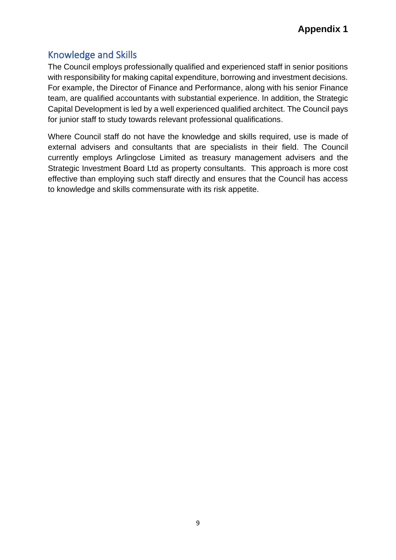# Knowledge and Skills

The Council employs professionally qualified and experienced staff in senior positions with responsibility for making capital expenditure, borrowing and investment decisions. For example, the Director of Finance and Performance, along with his senior Finance team, are qualified accountants with substantial experience. In addition, the Strategic Capital Development is led by a well experienced qualified architect. The Council pays for junior staff to study towards relevant professional qualifications.

Where Council staff do not have the knowledge and skills required, use is made of external advisers and consultants that are specialists in their field. The Council currently employs Arlingclose Limited as treasury management advisers and the Strategic Investment Board Ltd as property consultants. This approach is more cost effective than employing such staff directly and ensures that the Council has access to knowledge and skills commensurate with its risk appetite.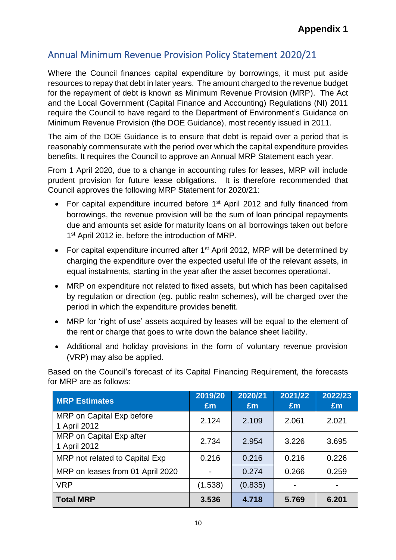# Annual Minimum Revenue Provision Policy Statement 2020/21

Where the Council finances capital expenditure by borrowings, it must put aside resources to repay that debt in later years. The amount charged to the revenue budget for the repayment of debt is known as Minimum Revenue Provision (MRP). The Act and the Local Government (Capital Finance and Accounting) Regulations (NI) 2011 require the Council to have regard to the Department of Environment's Guidance on Minimum Revenue Provision (the DOE Guidance), most recently issued in 2011.

The aim of the DOE Guidance is to ensure that debt is repaid over a period that is reasonably commensurate with the period over which the capital expenditure provides benefits. It requires the Council to approve an Annual MRP Statement each year.

From 1 April 2020, due to a change in accounting rules for leases, MRP will include prudent provision for future lease obligations. It is therefore recommended that Council approves the following MRP Statement for 2020/21:

- For capital expenditure incurred before 1<sup>st</sup> April 2012 and fully financed from borrowings, the revenue provision will be the sum of loan principal repayments due and amounts set aside for maturity loans on all borrowings taken out before 1<sup>st</sup> April 2012 ie. before the introduction of MRP.
- For capital expenditure incurred after 1<sup>st</sup> April 2012, MRP will be determined by charging the expenditure over the expected useful life of the relevant assets, in equal instalments, starting in the year after the asset becomes operational.
- MRP on expenditure not related to fixed assets, but which has been capitalised by regulation or direction (eg. public realm schemes), will be charged over the period in which the expenditure provides benefit.
- MRP for 'right of use' assets acquired by leases will be equal to the element of the rent or charge that goes to write down the balance sheet liability.
- Additional and holiday provisions in the form of voluntary revenue provision (VRP) may also be applied.

Based on the Council's forecast of its Capital Financing Requirement, the forecasts for MRP are as follows:

| <b>MRP Estimates</b>                      | 2019/20<br>Em | 2020/21<br>£m | 2021/22<br>£m | 2022/23<br>£m |
|-------------------------------------------|---------------|---------------|---------------|---------------|
| MRP on Capital Exp before<br>1 April 2012 | 2.124         | 2.109         | 2.061         | 2.021         |
| MRP on Capital Exp after<br>1 April 2012  | 2.734         | 2.954         | 3.226         | 3.695         |
| MRP not related to Capital Exp            | 0.216         | 0.216         | 0.216         | 0.226         |
| MRP on leases from 01 April 2020          |               | 0.274         | 0.266         | 0.259         |
| <b>VRP</b>                                | (1.538)       | (0.835)       |               |               |
| <b>Total MRP</b>                          | 3.536         | 4.718         | 5.769         | 6.201         |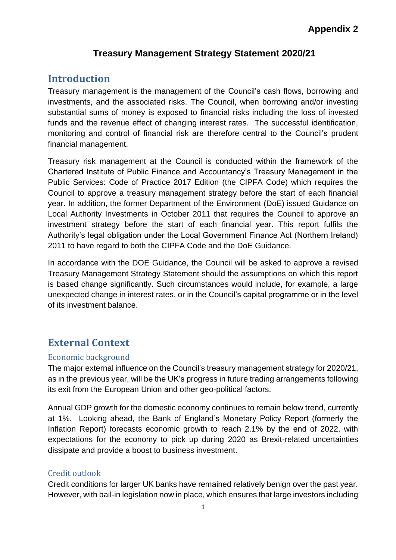# **Appendix 2**

#### **Treasury Management Strategy Statement 2020/21**

## **Introduction**

Treasury management is the management of the Council's cash flows, borrowing and investments, and the associated risks. The Council, when borrowing and/or investing substantial sums of money is exposed to financial risks including the loss of invested funds and the revenue effect of changing interest rates. The successful identification, monitoring and control of financial risk are therefore central to the Council's prudent financial management.

Treasury risk management at the Council is conducted within the framework of the Chartered Institute of Public Finance and Accountancy's Treasury Management in the Public Services: Code of Practice 2017 Edition (the CIPFA Code) which requires the Council to approve a treasury management strategy before the start of each financial year. In addition, the former Department of the Environment (DoE) issued Guidance on Local Authority Investments in October 2011 that requires the Council to approve an investment strategy before the start of each financial year. This report fulfils the Authority's legal obligation under the Local Government Finance Act (Northern Ireland) 2011 to have regard to both the CIPFA Code and the DoE Guidance.

In accordance with the DOE Guidance, the Council will be asked to approve a revised Treasury Management Strategy Statement should the assumptions on which this report is based change significantly. Such circumstances would include, for example, a large unexpected change in interest rates, or in the Council's capital programme or in the level of its investment balance.

# **External Context**

#### Economic background

The major external influence on the Council's treasury management strategy for 2020/21, as in the previous year, will be the UK's progress in future trading arrangements following its exit from the European Union and other geo-political factors.

Annual GDP growth for the domestic economy continues to remain below trend, currently at 1%. Looking ahead, the Bank of England's Monetary Policy Report (formerly the Inflation Report) forecasts economic growth to reach 2.1% by the end of 2022, with expectations for the economy to pick up during 2020 as Brexit-related uncertainties dissipate and provide a boost to business investment.

#### Credit outlook

Credit conditions for larger UK banks have remained relatively benign over the past year. However, with bail-in legislation now in place, which ensures that large investors including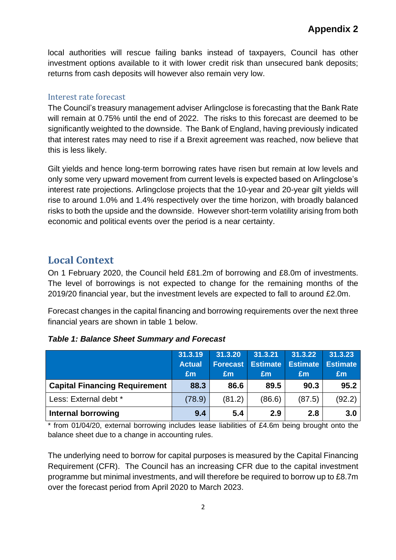local authorities will rescue failing banks instead of taxpayers, Council has other investment options available to it with lower credit risk than unsecured bank deposits; returns from cash deposits will however also remain very low.

#### Interest rate forecast

The Council's treasury management adviser Arlingclose is forecasting that the Bank Rate will remain at 0.75% until the end of 2022. The risks to this forecast are deemed to be significantly weighted to the downside. The Bank of England, having previously indicated that interest rates may need to rise if a Brexit agreement was reached, now believe that this is less likely.

Gilt yields and hence long-term borrowing rates have risen but remain at low levels and only some very upward movement from current levels is expected based on Arlingclose's interest rate projections. Arlingclose projects that the 10-year and 20-year gilt yields will rise to around 1.0% and 1.4% respectively over the time horizon, with broadly balanced risks to both the upside and the downside. However short-term volatility arising from both economic and political events over the period is a near certainty.

# **Local Context**

On 1 February 2020, the Council held £81.2m of borrowing and £8.0m of investments. The level of borrowings is not expected to change for the remaining months of the 2019/20 financial year, but the investment levels are expected to fall to around £2.0m.

Forecast changes in the capital financing and borrowing requirements over the next three financial years are shown in table 1 below.

|                                      | 31.3.19<br><b>Actual</b><br>£m | 31.3.20<br><b>Forecast</b><br>£m | 31.3.21<br><b>Estimate</b><br>£m | 31.3.22<br><b>Estimate</b><br>£m | 31.3.23<br><b>Estimate</b><br>£m |
|--------------------------------------|--------------------------------|----------------------------------|----------------------------------|----------------------------------|----------------------------------|
| <b>Capital Financing Requirement</b> | 88.3                           | 86.6                             | 89.5                             | 90.3                             | 95.2                             |
| Less: External debt *                | (78.9)                         | (81.2)                           | (86.6)                           | (87.5)                           | (92.2)                           |
| Internal borrowing                   | 9.4                            | 5.4                              | 2.9                              | 2.8                              | 3.0                              |

#### *Table 1: Balance Sheet Summary and Forecast*

\* from 01/04/20, external borrowing includes lease liabilities of £4.6m being brought onto the balance sheet due to a change in accounting rules.

The underlying need to borrow for capital purposes is measured by the Capital Financing Requirement (CFR). The Council has an increasing CFR due to the capital investment programme but minimal investments, and will therefore be required to borrow up to £8.7m over the forecast period from April 2020 to March 2023.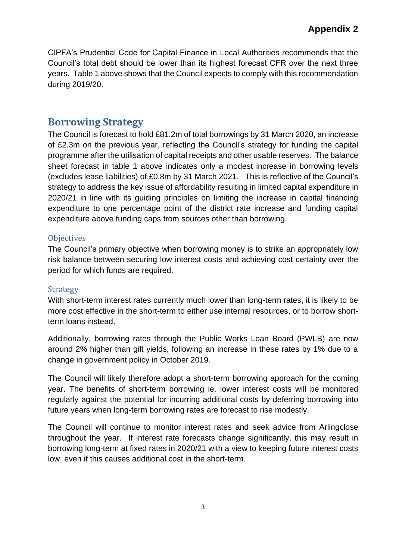CIPFA's Prudential Code for Capital Finance in Local Authorities recommends that the Council's total debt should be lower than its highest forecast CFR over the next three years. Table 1 above shows that the Council expects to comply with this recommendation during 2019/20.

# **Borrowing Strategy**

The Council is forecast to hold £81.2m of total borrowings by 31 March 2020, an increase of £2.3m on the previous year, reflecting the Council's strategy for funding the capital programme after the utilisation of capital receipts and other usable reserves. The balance sheet forecast in table 1 above indicates only a modest increase in borrowing levels (excludes lease liabilities) of £0.8m by 31 March 2021. This is reflective of the Council's strategy to address the key issue of affordability resulting in limited capital expenditure in 2020/21 in line with its guiding principles on limiting the increase in capital financing expenditure to one percentage point of the district rate increase and funding capital expenditure above funding caps from sources other than borrowing.

#### **Objectives**

The Council's primary objective when borrowing money is to strike an appropriately low risk balance between securing low interest costs and achieving cost certainty over the period for which funds are required.

#### Strategy

With short-term interest rates currently much lower than long-term rates, it is likely to be more cost effective in the short-term to either use internal resources, or to borrow shortterm loans instead.

Additionally, borrowing rates through the Public Works Loan Board (PWLB) are now around 2% higher than gilt yields, following an increase in these rates by 1% due to a change in government policy in October 2019.

The Council will likely therefore adopt a short-term borrowing approach for the coming year. The benefits of short-term borrowing ie. lower interest costs will be monitored regularly against the potential for incurring additional costs by deferring borrowing into future years when long-term borrowing rates are forecast to rise modestly.

The Council will continue to monitor interest rates and seek advice from Arlingclose throughout the year. If interest rate forecasts change significantly, this may result in borrowing long-term at fixed rates in 2020/21 with a view to keeping future interest costs low, even if this causes additional cost in the short-term.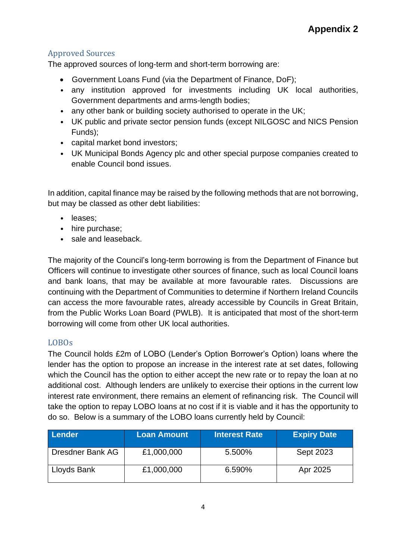## Approved Sources

The approved sources of long-term and short-term borrowing are:

- Government Loans Fund (via the Department of Finance, DoF);
- any institution approved for investments including UK local authorities, Government departments and arms-length bodies;
- any other bank or building society authorised to operate in the UK;
- UK public and private sector pension funds (except NILGOSC and NICS Pension Funds);
- capital market bond investors;
- UK Municipal Bonds Agency plc and other special purpose companies created to enable Council bond issues.

In addition, capital finance may be raised by the following methods that are not borrowing, but may be classed as other debt liabilities:

- leases;
- hire purchase;
- sale and leaseback.

The majority of the Council's long-term borrowing is from the Department of Finance but Officers will continue to investigate other sources of finance, such as local Council loans and bank loans, that may be available at more favourable rates. Discussions are continuing with the Department of Communities to determine if Northern Ireland Councils can access the more favourable rates, already accessible by Councils in Great Britain, from the Public Works Loan Board (PWLB). It is anticipated that most of the short-term borrowing will come from other UK local authorities.

## LOBOs

The Council holds £2m of LOBO (Lender's Option Borrower's Option) loans where the lender has the option to propose an increase in the interest rate at set dates, following which the Council has the option to either accept the new rate or to repay the loan at no additional cost. Although lenders are unlikely to exercise their options in the current low interest rate environment, there remains an element of refinancing risk. The Council will take the option to repay LOBO loans at no cost if it is viable and it has the opportunity to do so. Below is a summary of the LOBO loans currently held by Council:

| Lender           | <b>Loan Amount</b> | <b>Interest Rate</b> | <b>Expiry Date</b> |
|------------------|--------------------|----------------------|--------------------|
| Dresdner Bank AG | £1,000,000         | 5.500%               | <b>Sept 2023</b>   |
| Lloyds Bank      | £1,000,000         | 6.590%               | Apr 2025           |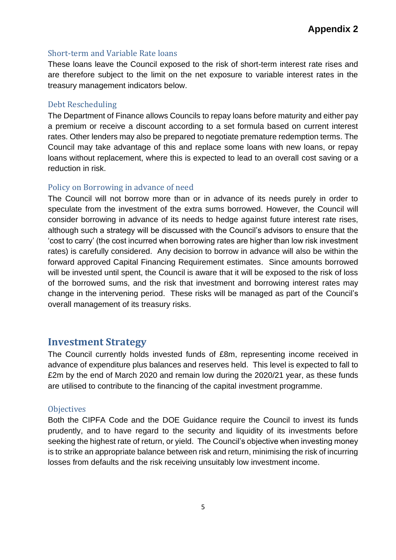#### Short-term and Variable Rate loans

These loans leave the Council exposed to the risk of short-term interest rate rises and are therefore subject to the limit on the net exposure to variable interest rates in the treasury management indicators below.

#### Debt Rescheduling

The Department of Finance allows Councils to repay loans before maturity and either pay a premium or receive a discount according to a set formula based on current interest rates. Other lenders may also be prepared to negotiate premature redemption terms. The Council may take advantage of this and replace some loans with new loans, or repay loans without replacement, where this is expected to lead to an overall cost saving or a reduction in risk.

#### Policy on Borrowing in advance of need

The Council will not borrow more than or in advance of its needs purely in order to speculate from the investment of the extra sums borrowed. However, the Council will consider borrowing in advance of its needs to hedge against future interest rate rises, although such a strategy will be discussed with the Council's advisors to ensure that the 'cost to carry' (the cost incurred when borrowing rates are higher than low risk investment rates) is carefully considered. Any decision to borrow in advance will also be within the forward approved Capital Financing Requirement estimates. Since amounts borrowed will be invested until spent, the Council is aware that it will be exposed to the risk of loss of the borrowed sums, and the risk that investment and borrowing interest rates may change in the intervening period. These risks will be managed as part of the Council's overall management of its treasury risks.

#### **Investment Strategy**

The Council currently holds invested funds of £8m, representing income received in advance of expenditure plus balances and reserves held. This level is expected to fall to £2m by the end of March 2020 and remain low during the 2020/21 year, as these funds are utilised to contribute to the financing of the capital investment programme.

#### **Objectives**

Both the CIPFA Code and the DOE Guidance require the Council to invest its funds prudently, and to have regard to the security and liquidity of its investments before seeking the highest rate of return, or yield. The Council's objective when investing money is to strike an appropriate balance between risk and return, minimising the risk of incurring losses from defaults and the risk receiving unsuitably low investment income.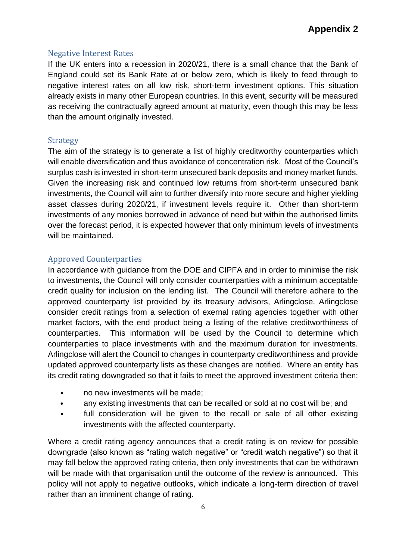#### Negative Interest Rates

If the UK enters into a recession in 2020/21, there is a small chance that the Bank of England could set its Bank Rate at or below zero, which is likely to feed through to negative interest rates on all low risk, short-term investment options. This situation already exists in many other European countries. In this event, security will be measured as receiving the contractually agreed amount at maturity, even though this may be less than the amount originally invested.

#### Strategy

The aim of the strategy is to generate a list of highly creditworthy counterparties which will enable diversification and thus avoidance of concentration risk. Most of the Council's surplus cash is invested in short-term unsecured bank deposits and money market funds. Given the increasing risk and continued low returns from short-term unsecured bank investments, the Council will aim to further diversify into more secure and higher yielding asset classes during 2020/21, if investment levels require it. Other than short-term investments of any monies borrowed in advance of need but within the authorised limits over the forecast period, it is expected however that only minimum levels of investments will be maintained.

#### Approved Counterparties

In accordance with guidance from the DOE and CIPFA and in order to minimise the risk to investments, the Council will only consider counterparties with a minimum acceptable credit quality for inclusion on the lending list. The Council will therefore adhere to the approved counterparty list provided by its treasury advisors, Arlingclose. Arlingclose consider credit ratings from a selection of exernal rating agencies together with other market factors, with the end product being a listing of the relative creditworthiness of counterparties. This information will be used by the Council to determine which counterparties to place investments with and the maximum duration for investments. Arlingclose will alert the Council to changes in counterparty creditworthiness and provide updated approved counterparty lists as these changes are notified. Where an entity has its credit rating downgraded so that it fails to meet the approved investment criteria then:

- no new investments will be made;
- any existing investments that can be recalled or sold at no cost will be; and
- full consideration will be given to the recall or sale of all other existing investments with the affected counterparty.

Where a credit rating agency announces that a credit rating is on review for possible downgrade (also known as "rating watch negative" or "credit watch negative") so that it may fall below the approved rating criteria, then only investments that can be withdrawn will be made with that organisation until the outcome of the review is announced. This policy will not apply to negative outlooks, which indicate a long-term direction of travel rather than an imminent change of rating.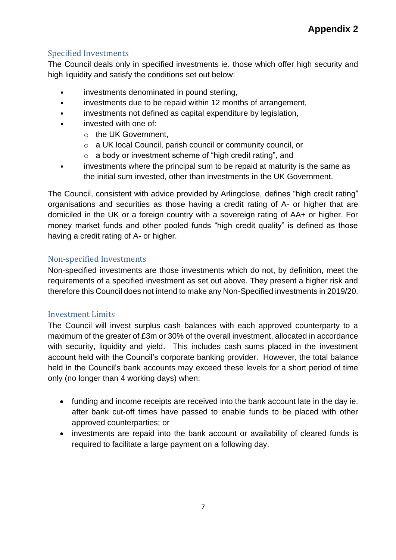## Specified Investments

The Council deals only in specified investments ie. those which offer high security and high liquidity and satisfy the conditions set out below:

- investments denominated in pound sterling,
- investments due to be repaid within 12 months of arrangement,
- investments not defined as capital expenditure by legislation,
- invested with one of:
	- o the UK Government,
		- o a UK local Council, parish council or community council, or
		- o a body or investment scheme of "high credit rating", and
- investments where the principal sum to be repaid at maturity is the same as the initial sum invested, other than investments in the UK Government.

The Council, consistent with advice provided by Arlingclose, defines "high credit rating" organisations and securities as those having a credit rating of A- or higher that are domiciled in the UK or a foreign country with a sovereign rating of AA+ or higher. For money market funds and other pooled funds "high credit quality" is defined as those having a credit rating of A- or higher.

### Non-specified Investments

Non-specified investments are those investments which do not, by definition, meet the requirements of a specified investment as set out above. They present a higher risk and therefore this Council does not intend to make any Non-Specified investments in 2019/20.

#### Investment Limits

The Council will invest surplus cash balances with each approved counterparty to a maximum of the greater of £3m or 30% of the overall investment, allocated in accordance with security, liquidity and yield. This includes cash sums placed in the investment account held with the Council's corporate banking provider. However, the total balance held in the Council's bank accounts may exceed these levels for a short period of time only (no longer than 4 working days) when:

- funding and income receipts are received into the bank account late in the day ie. after bank cut-off times have passed to enable funds to be placed with other approved counterparties; or
- investments are repaid into the bank account or availability of cleared funds is required to facilitate a large payment on a following day.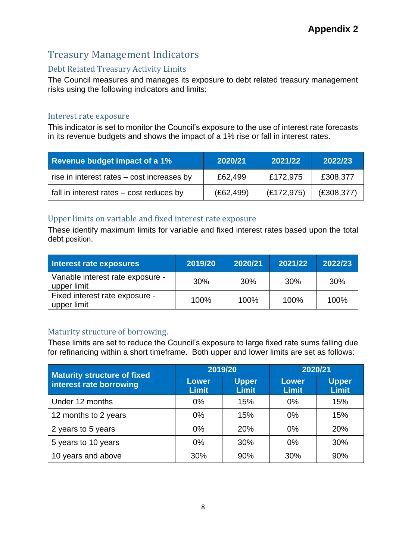# Treasury Management Indicators

## Debt Related Treasury Activity Limits

The Council measures and manages its exposure to debt related treasury management risks using the following indicators and limits:

#### Interest rate exposure

This indicator is set to monitor the Council's exposure to the use of interest rate forecasts in its revenue budgets and shows the impact of a 1% rise or fall in interest rates.

| <b>Revenue budget impact of a 1%</b>       | 2020/21    | 2021/22     | 2022/23     |
|--------------------------------------------|------------|-------------|-------------|
| rise in interest rates – cost increases by | £62,499    | £172,975    | £308,377    |
| fall in interest rates – cost reduces by   | (E62, 499) | (E172, 975) | (E308, 377) |

#### Upper limits on variable and fixed interest rate exposure

These identify maximum limits for variable and fixed interest rates based upon the total debt position.

| Interest rate exposures                          | 2019/20 | 2020/21 | 2021/22 | 2022/23 |
|--------------------------------------------------|---------|---------|---------|---------|
| Variable interest rate exposure -<br>upper limit | 30%     | 30%     | 30%     | 30%     |
| Fixed interest rate exposure -<br>upper limit    | 100%    | 100%    | 100%    | 100%    |

## Maturity structure of borrowing.

These limits are set to reduce the Council's exposure to large fixed rate sums falling due for refinancing within a short timeframe. Both upper and lower limits are set as follows:

| <b>Maturity structure of fixed</b> |                              | 2019/20                      | 2020/21                      |                              |
|------------------------------------|------------------------------|------------------------------|------------------------------|------------------------------|
| interest rate borrowing            | <b>Lower</b><br><b>Limit</b> | <b>Upper</b><br><b>Limit</b> | <b>Lower</b><br><b>Limit</b> | <b>Upper</b><br><b>Limit</b> |
| Under 12 months                    | $0\%$                        | 15%                          | 0%                           | 15%                          |
| 12 months to 2 years               | $0\%$                        | 15%                          | 0%                           | 15%                          |
| 2 years to 5 years                 | $0\%$                        | 20%                          | 0%                           | 20%                          |
| 5 years to 10 years                | 0%                           | 30%                          | 0%                           | 30%                          |
| 10 years and above                 | 30%                          | 90%                          | 30%                          | 90%                          |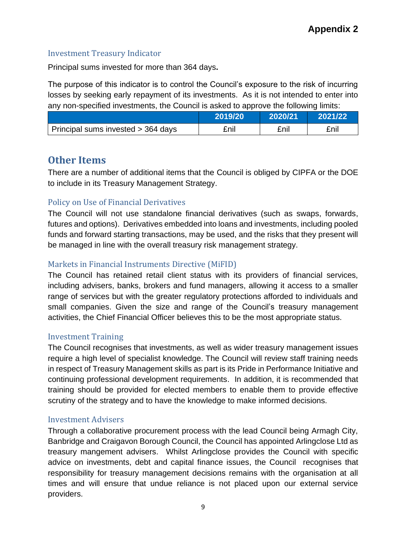#### Investment Treasury Indicator

Principal sums invested for more than 364 days**.** 

The purpose of this indicator is to control the Council's exposure to the risk of incurring losses by seeking early repayment of its investments. As it is not intended to enter into any non-specified investments, the Council is asked to approve the following limits:

|                                    | 2019/20 | 2020/21 | 2021/22 |
|------------------------------------|---------|---------|---------|
| Principal sums invested > 364 days | £nil    | £nil    | £nil    |

# **Other Items**

There are a number of additional items that the Council is obliged by CIPFA or the DOE to include in its Treasury Management Strategy.

## Policy on Use of Financial Derivatives

The Council will not use standalone financial derivatives (such as swaps, forwards, futures and options). Derivatives embedded into loans and investments, including pooled funds and forward starting transactions, may be used, and the risks that they present will be managed in line with the overall treasury risk management strategy.

## Markets in Financial Instruments Directive (MiFID)

The Council has retained retail client status with its providers of financial services, including advisers, banks, brokers and fund managers, allowing it access to a smaller range of services but with the greater regulatory protections afforded to individuals and small companies. Given the size and range of the Council's treasury management activities, the Chief Financial Officer believes this to be the most appropriate status.

## Investment Training

The Council recognises that investments, as well as wider treasury management issues require a high level of specialist knowledge. The Council will review staff training needs in respect of Treasury Management skills as part is its Pride in Performance Initiative and continuing professional development requirements. In addition, it is recommended that training should be provided for elected members to enable them to provide effective scrutiny of the strategy and to have the knowledge to make informed decisions.

#### Investment Advisers

Through a collaborative procurement process with the lead Council being Armagh City, Banbridge and Craigavon Borough Council, the Council has appointed Arlingclose Ltd as treasury mangement advisers. Whilst Arlingclose provides the Council with specific advice on investments, debt and capital finance issues, the Council recognises that responsibility for treasury management decisions remains with the organisation at all times and will ensure that undue reliance is not placed upon our external service providers.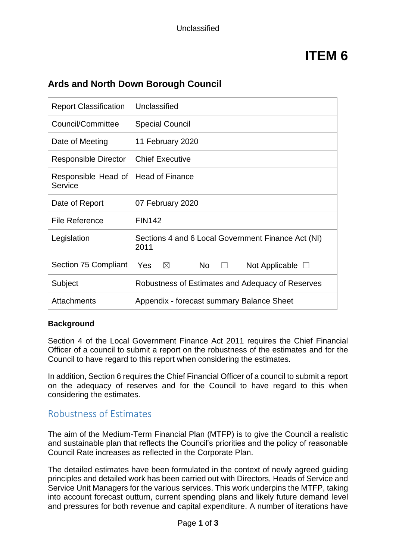# **ITEM 6**

| <b>Report Classification</b>   | Unclassified                                                       |
|--------------------------------|--------------------------------------------------------------------|
| Council/Committee              | <b>Special Council</b>                                             |
| Date of Meeting                | 11 February 2020                                                   |
| Responsible Director           | <b>Chief Executive</b>                                             |
| Responsible Head of<br>Service | <b>Head of Finance</b>                                             |
| Date of Report                 | 07 February 2020                                                   |
| File Reference                 | <b>FIN142</b>                                                      |
| Legislation                    | Sections 4 and 6 Local Government Finance Act (NI)<br>2011         |
| Section 75 Compliant           | Yes<br><b>No</b><br>$\boxtimes$<br>Not Applicable $\Box$<br>$\Box$ |
| Subject                        | Robustness of Estimates and Adequacy of Reserves                   |
| Attachments                    | Appendix - forecast summary Balance Sheet                          |

# **Ards and North Down Borough Council**

#### **Background**

Section 4 of the Local Government Finance Act 2011 requires the Chief Financial Officer of a council to submit a report on the robustness of the estimates and for the Council to have regard to this report when considering the estimates.

In addition, Section 6 requires the Chief Financial Officer of a council to submit a report on the adequacy of reserves and for the Council to have regard to this when considering the estimates.

# Robustness of Estimates

The aim of the Medium-Term Financial Plan (MTFP) is to give the Council a realistic and sustainable plan that reflects the Council's priorities and the policy of reasonable Council Rate increases as reflected in the Corporate Plan.

The detailed estimates have been formulated in the context of newly agreed guiding principles and detailed work has been carried out with Directors, Heads of Service and Service Unit Managers for the various services. This work underpins the MTFP, taking into account forecast outturn, current spending plans and likely future demand level and pressures for both revenue and capital expenditure. A number of iterations have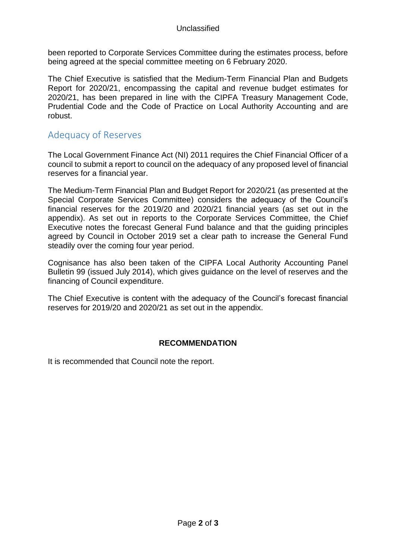been reported to Corporate Services Committee during the estimates process, before being agreed at the special committee meeting on 6 February 2020.

The Chief Executive is satisfied that the Medium-Term Financial Plan and Budgets Report for 2020/21, encompassing the capital and revenue budget estimates for 2020/21, has been prepared in line with the CIPFA Treasury Management Code, Prudential Code and the Code of Practice on Local Authority Accounting and are robust.

# Adequacy of Reserves

The Local Government Finance Act (NI) 2011 requires the Chief Financial Officer of a council to submit a report to council on the adequacy of any proposed level of financial reserves for a financial year.

The Medium-Term Financial Plan and Budget Report for 2020/21 (as presented at the Special Corporate Services Committee) considers the adequacy of the Council's financial reserves for the 2019/20 and 2020/21 financial years (as set out in the appendix). As set out in reports to the Corporate Services Committee, the Chief Executive notes the forecast General Fund balance and that the guiding principles agreed by Council in October 2019 set a clear path to increase the General Fund steadily over the coming four year period.

Cognisance has also been taken of the CIPFA Local Authority Accounting Panel Bulletin 99 (issued July 2014), which gives guidance on the level of reserves and the financing of Council expenditure.

The Chief Executive is content with the adequacy of the Council's forecast financial reserves for 2019/20 and 2020/21 as set out in the appendix.

#### **RECOMMENDATION**

It is recommended that Council note the report.